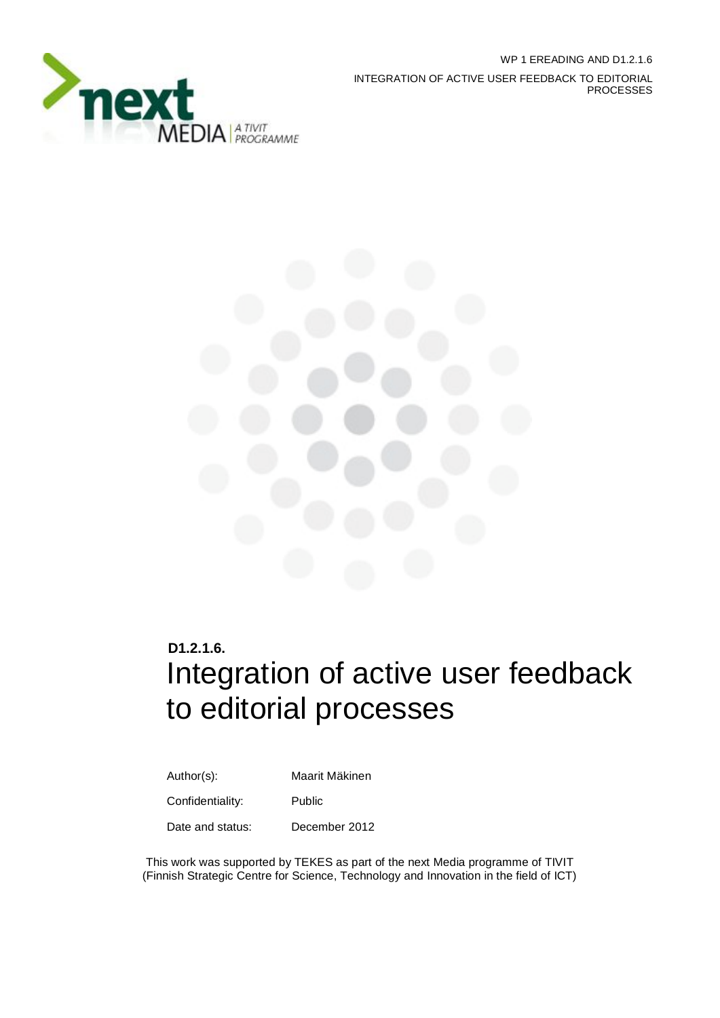

 WP 1 EREADING AND D1.2.1.6 INTEGRATION OF ACTIVE USER FEEDBACK TO EDITORIAL PROCESSES



# **D1.2.1.6.**  Integration of active user feedback to editorial processes

#### Author(s): Maarit Mäkinen

Confidentiality: Public

Date and status: December 2012

This work was supported by TEKES as part of the next Media programme of TIVIT (Finnish Strategic Centre for Science, Technology and Innovation in the field of ICT)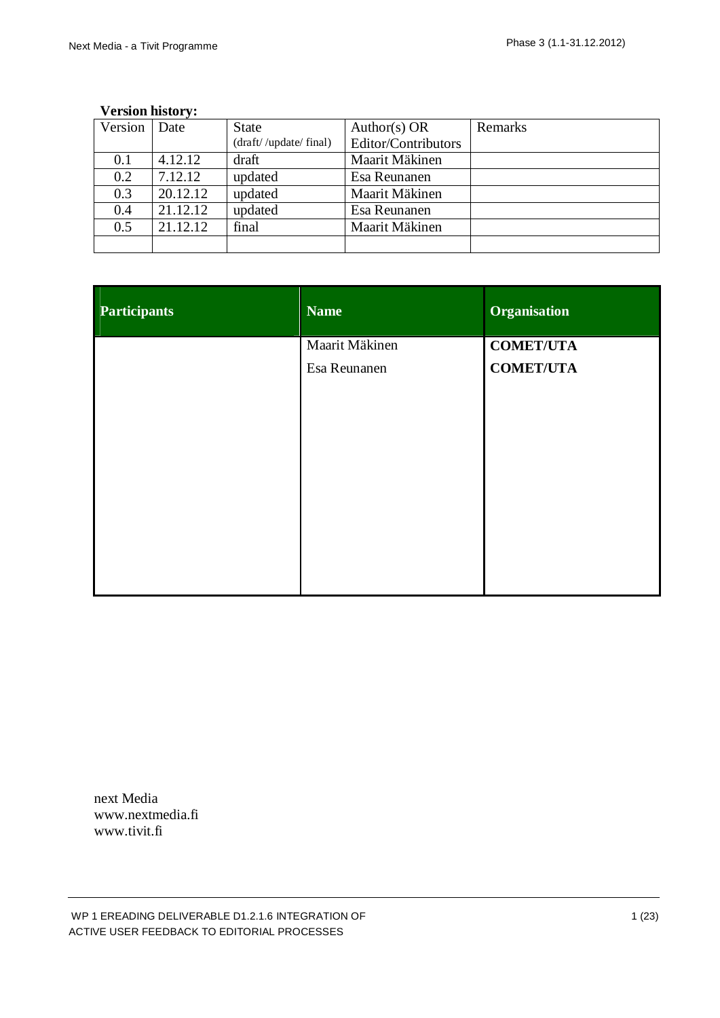| $, \, \text{constant}$ $\sim$ $\cdot$ $\cdot$ |          |                       |                     |         |  |
|-----------------------------------------------|----------|-----------------------|---------------------|---------|--|
| Version                                       | Date     | <b>State</b>          | Author(s) $OR$      | Remarks |  |
|                                               |          | (draft//update/final) | Editor/Contributors |         |  |
| 0.1                                           | 4.12.12  | draft                 | Maarit Mäkinen      |         |  |
| 0.2                                           | 7.12.12  | updated               | Esa Reunanen        |         |  |
| 0.3                                           | 20.12.12 | updated               | Maarit Mäkinen      |         |  |
| 0.4                                           | 21.12.12 | updated               | Esa Reunanen        |         |  |
| 0.5                                           | 21.12.12 | final                 | Maarit Mäkinen      |         |  |
|                                               |          |                       |                     |         |  |

#### **Version history:**

| <b>Participants</b> | <b>Name</b>    | <b>Organisation</b> |
|---------------------|----------------|---------------------|
|                     | Maarit Mäkinen | <b>COMET/UTA</b>    |
|                     | Esa Reunanen   | <b>COMET/UTA</b>    |
|                     |                |                     |
|                     |                |                     |
|                     |                |                     |
|                     |                |                     |
|                     |                |                     |
|                     |                |                     |
|                     |                |                     |
|                     |                |                     |
|                     |                |                     |
|                     |                |                     |

next Media www.nextmedia.fi www.tivit.fi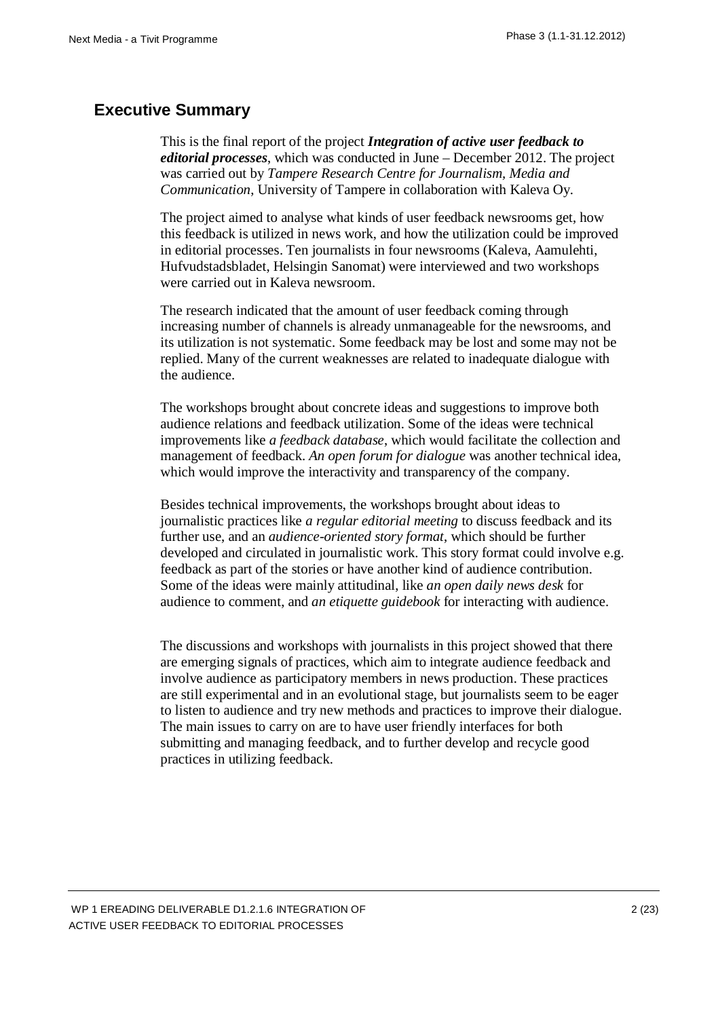# **Executive Summary**

This is the final report of the project *Integration of active user feedback to editorial processes*, which was conducted in June – December 2012. The project was carried out by *Tampere Research Centre for Journalism, Media and Communication*, University of Tampere in collaboration with Kaleva Oy.

The project aimed to analyse what kinds of user feedback newsrooms get, how this feedback is utilized in news work, and how the utilization could be improved in editorial processes. Ten journalists in four newsrooms (Kaleva, Aamulehti, Hufvudstadsbladet, Helsingin Sanomat) were interviewed and two workshops were carried out in Kaleva newsroom.

The research indicated that the amount of user feedback coming through increasing number of channels is already unmanageable for the newsrooms, and its utilization is not systematic. Some feedback may be lost and some may not be replied. Many of the current weaknesses are related to inadequate dialogue with the audience.

The workshops brought about concrete ideas and suggestions to improve both audience relations and feedback utilization. Some of the ideas were technical improvements like *a feedback database*, which would facilitate the collection and management of feedback. *An open forum for dialogue* was another technical idea, which would improve the interactivity and transparency of the company.

Besides technical improvements, the workshops brought about ideas to journalistic practices like *a regular editorial meeting* to discuss feedback and its further use, and an *audience-oriented story format*, which should be further developed and circulated in journalistic work. This story format could involve e.g. feedback as part of the stories or have another kind of audience contribution. Some of the ideas were mainly attitudinal, like *an open daily news desk* for audience to comment, and *an etiquette guidebook* for interacting with audience.

The discussions and workshops with journalists in this project showed that there are emerging signals of practices, which aim to integrate audience feedback and involve audience as participatory members in news production. These practices are still experimental and in an evolutional stage, but journalists seem to be eager to listen to audience and try new methods and practices to improve their dialogue. The main issues to carry on are to have user friendly interfaces for both submitting and managing feedback, and to further develop and recycle good practices in utilizing feedback.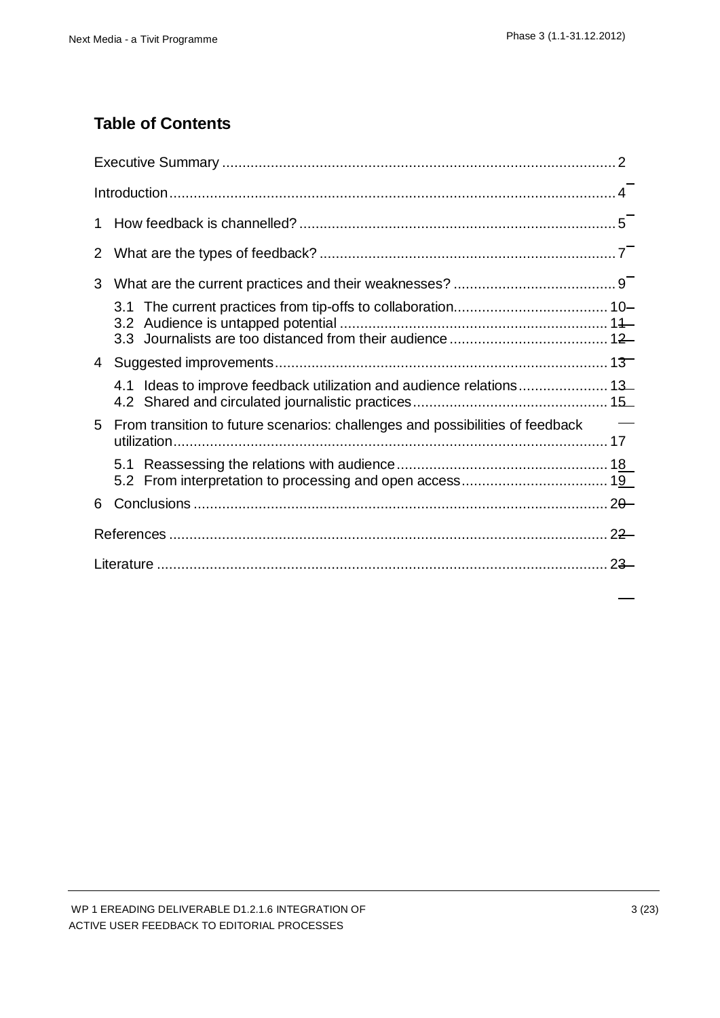# **Table of Contents**

| 1.             |                                                                                                           |  |  |
|----------------|-----------------------------------------------------------------------------------------------------------|--|--|
| $\overline{2}$ |                                                                                                           |  |  |
| 3              |                                                                                                           |  |  |
|                |                                                                                                           |  |  |
| 4              |                                                                                                           |  |  |
|                | Ideas to improve feedback utilization and audience relations 13<br>4.1                                    |  |  |
| 5              | $\overline{\phantom{0}}$<br>From transition to future scenarios: challenges and possibilities of feedback |  |  |
|                |                                                                                                           |  |  |
| 6.             |                                                                                                           |  |  |
|                |                                                                                                           |  |  |
|                |                                                                                                           |  |  |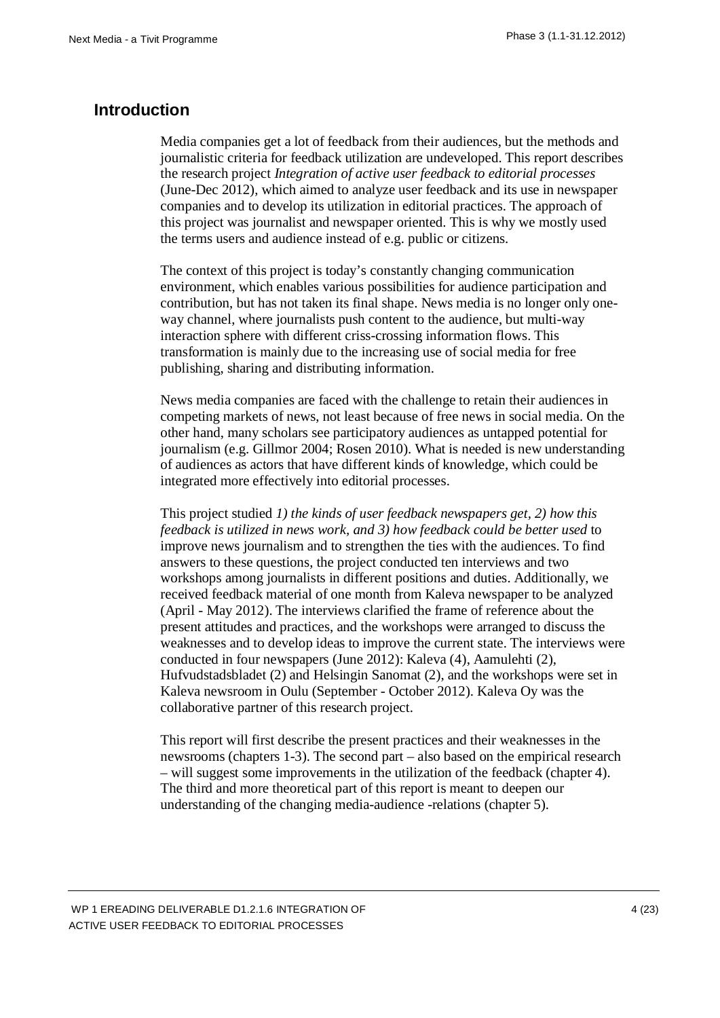# **Introduction**

Media companies get a lot of feedback from their audiences, but the methods and journalistic criteria for feedback utilization are undeveloped. This report describes the research project *Integration of active user feedback to editorial processes*  (June-Dec 2012), which aimed to analyze user feedback and its use in newspaper companies and to develop its utilization in editorial practices. The approach of this project was journalist and newspaper oriented. This is why we mostly used the terms users and audience instead of e.g. public or citizens.

The context of this project is today's constantly changing communication environment, which enables various possibilities for audience participation and contribution, but has not taken its final shape. News media is no longer only oneway channel, where journalists push content to the audience, but multi-way interaction sphere with different criss-crossing information flows. This transformation is mainly due to the increasing use of social media for free publishing, sharing and distributing information.

News media companies are faced with the challenge to retain their audiences in competing markets of news, not least because of free news in social media. On the other hand, many scholars see participatory audiences as untapped potential for journalism (e.g. Gillmor 2004; Rosen 2010). What is needed is new understanding of audiences as actors that have different kinds of knowledge, which could be integrated more effectively into editorial processes.

This project studied *1) the kinds of user feedback newspapers get, 2) how this feedback is utilized in news work, and 3) how feedback could be better used* to improve news journalism and to strengthen the ties with the audiences. To find answers to these questions, the project conducted ten interviews and two workshops among journalists in different positions and duties. Additionally, we received feedback material of one month from Kaleva newspaper to be analyzed (April - May 2012). The interviews clarified the frame of reference about the present attitudes and practices, and the workshops were arranged to discuss the weaknesses and to develop ideas to improve the current state. The interviews were conducted in four newspapers (June 2012): Kaleva (4), Aamulehti (2), Hufvudstadsbladet (2) and Helsingin Sanomat (2), and the workshops were set in Kaleva newsroom in Oulu (September - October 2012). Kaleva Oy was the collaborative partner of this research project.

This report will first describe the present practices and their weaknesses in the newsrooms (chapters 1-3). The second part – also based on the empirical research – will suggest some improvements in the utilization of the feedback (chapter 4). The third and more theoretical part of this report is meant to deepen our understanding of the changing media-audience -relations (chapter 5).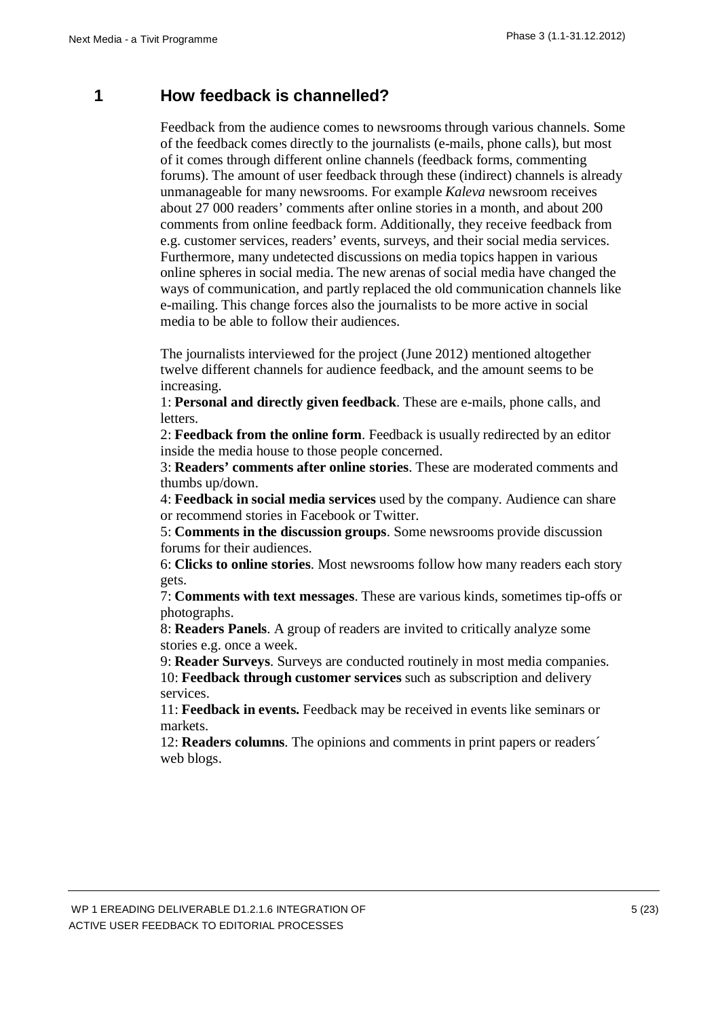# **1 How feedback is channelled?**

Feedback from the audience comes to newsrooms through various channels. Some of the feedback comes directly to the journalists (e-mails, phone calls), but most of it comes through different online channels (feedback forms, commenting forums). The amount of user feedback through these (indirect) channels is already unmanageable for many newsrooms. For example *Kaleva* newsroom receives about 27 000 readers' comments after online stories in a month, and about 200 comments from online feedback form. Additionally, they receive feedback from e.g. customer services, readers' events, surveys, and their social media services. Furthermore, many undetected discussions on media topics happen in various online spheres in social media. The new arenas of social media have changed the ways of communication, and partly replaced the old communication channels like e-mailing. This change forces also the journalists to be more active in social media to be able to follow their audiences.

The journalists interviewed for the project (June 2012) mentioned altogether twelve different channels for audience feedback, and the amount seems to be increasing.

1: **Personal and directly given feedback**. These are e-mails, phone calls, and letters.

2: **Feedback from the online form**. Feedback is usually redirected by an editor inside the media house to those people concerned.

3: **Readers' comments after online stories**. These are moderated comments and thumbs up/down.

4: **Feedback in social media services** used by the company. Audience can share or recommend stories in Facebook or Twitter.

5: **Comments in the discussion groups**. Some newsrooms provide discussion forums for their audiences.

6: **Clicks to online stories**. Most newsrooms follow how many readers each story gets.

7: **Comments with text messages**. These are various kinds, sometimes tip-offs or photographs.

8: **Readers Panels**. A group of readers are invited to critically analyze some stories e.g. once a week.

9: **Reader Surveys**. Surveys are conducted routinely in most media companies. 10: **Feedback through customer services** such as subscription and delivery services.

11: **Feedback in events.** Feedback may be received in events like seminars or markets.

12: **Readers columns**. The opinions and comments in print papers or readers´ web blogs.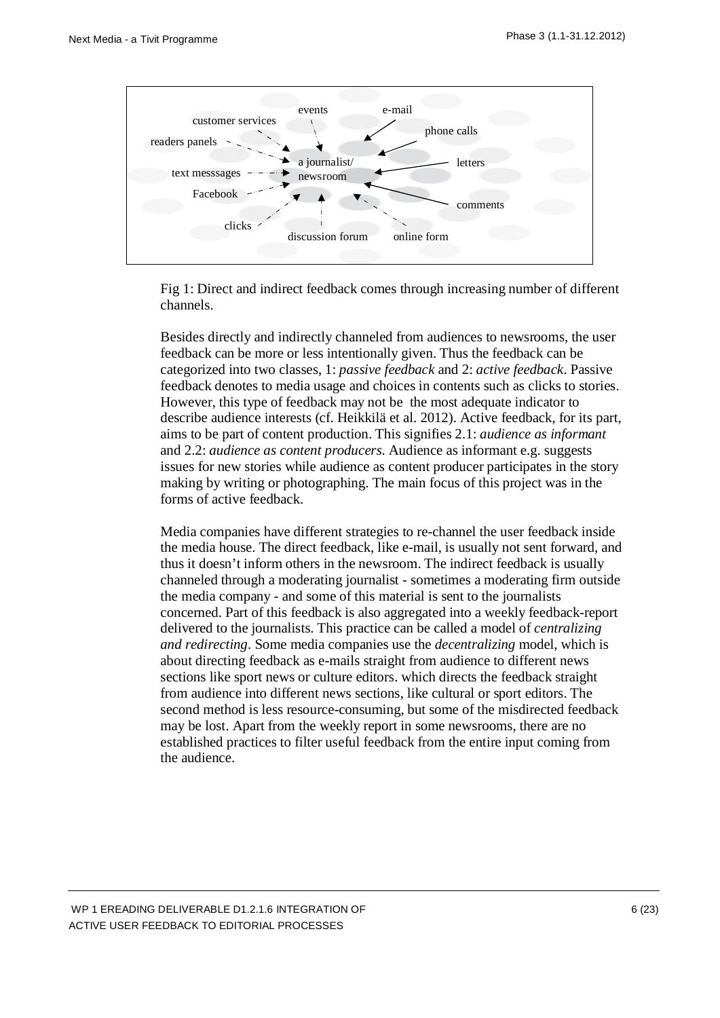

Fig 1: Direct and indirect feedback comes through increasing number of different channels.

Besides directly and indirectly channeled from audiences to newsrooms, the user feedback can be more or less intentionally given. Thus the feedback can be categorized into two classes, 1: *passive feedback* and 2: *active feedback*. Passive feedback denotes to media usage and choices in contents such as clicks to stories. However, this type of feedback may not be the most adequate indicator to describe audience interests (cf. Heikkilä et al. 2012). Active feedback, for its part, aims to be part of content production. This signifies 2.1: *audience as informant* and 2.2: *audience as content producers*. Audience as informant e.g. suggests issues for new stories while audience as content producer participates in the story making by writing or photographing. The main focus of this project was in the forms of active feedback.

Media companies have different strategies to re-channel the user feedback inside the media house. The direct feedback, like e-mail, is usually not sent forward, and thus it doesn't inform others in the newsroom. The indirect feedback is usually channeled through a moderating journalist - sometimes a moderating firm outside the media company - and some of this material is sent to the journalists concerned. Part of this feedback is also aggregated into a weekly feedback-report delivered to the journalists. This practice can be called a model of *centralizing and redirecting*. Some media companies use the *decentralizing* model, which is about directing feedback as e-mails straight from audience to different news sections like sport news or culture editors. which directs the feedback straight from audience into different news sections, like cultural or sport editors. The second method is less resource-consuming, but some of the misdirected feedback may be lost. Apart from the weekly report in some newsrooms, there are no established practices to filter useful feedback from the entire input coming from the audience.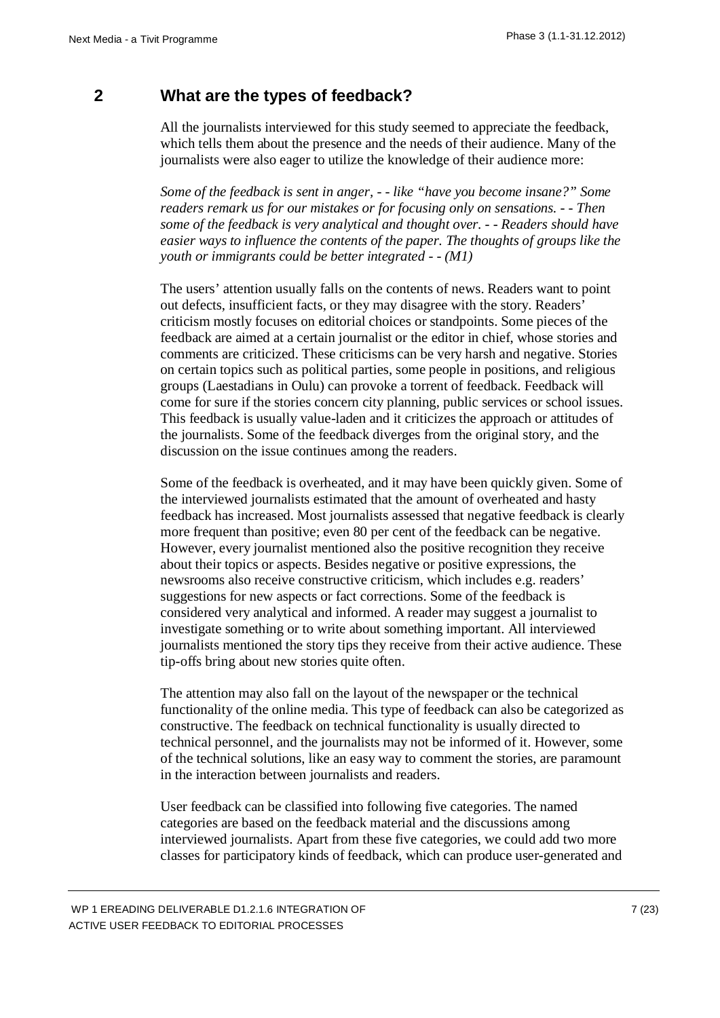# **2 What are the types of feedback?**

All the journalists interviewed for this study seemed to appreciate the feedback, which tells them about the presence and the needs of their audience. Many of the journalists were also eager to utilize the knowledge of their audience more:

*Some of the feedback is sent in anger, - - like "have you become insane?" Some readers remark us for our mistakes or for focusing only on sensations. - - Then some of the feedback is very analytical and thought over. - - Readers should have easier ways to influence the contents of the paper. The thoughts of groups like the youth or immigrants could be better integrated - - (M1)*

The users' attention usually falls on the contents of news. Readers want to point out defects, insufficient facts, or they may disagree with the story. Readers' criticism mostly focuses on editorial choices or standpoints. Some pieces of the feedback are aimed at a certain journalist or the editor in chief, whose stories and comments are criticized. These criticisms can be very harsh and negative. Stories on certain topics such as political parties, some people in positions, and religious groups (Laestadians in Oulu) can provoke a torrent of feedback. Feedback will come for sure if the stories concern city planning, public services or school issues. This feedback is usually value-laden and it criticizes the approach or attitudes of the journalists. Some of the feedback diverges from the original story, and the discussion on the issue continues among the readers.

Some of the feedback is overheated, and it may have been quickly given. Some of the interviewed journalists estimated that the amount of overheated and hasty feedback has increased. Most journalists assessed that negative feedback is clearly more frequent than positive; even 80 per cent of the feedback can be negative. However, every journalist mentioned also the positive recognition they receive about their topics or aspects. Besides negative or positive expressions, the newsrooms also receive constructive criticism, which includes e.g. readers' suggestions for new aspects or fact corrections. Some of the feedback is considered very analytical and informed. A reader may suggest a journalist to investigate something or to write about something important. All interviewed journalists mentioned the story tips they receive from their active audience. These tip-offs bring about new stories quite often.

The attention may also fall on the layout of the newspaper or the technical functionality of the online media. This type of feedback can also be categorized as constructive. The feedback on technical functionality is usually directed to technical personnel, and the journalists may not be informed of it. However, some of the technical solutions, like an easy way to comment the stories, are paramount in the interaction between journalists and readers.

User feedback can be classified into following five categories. The named categories are based on the feedback material and the discussions among interviewed journalists. Apart from these five categories, we could add two more classes for participatory kinds of feedback, which can produce user-generated and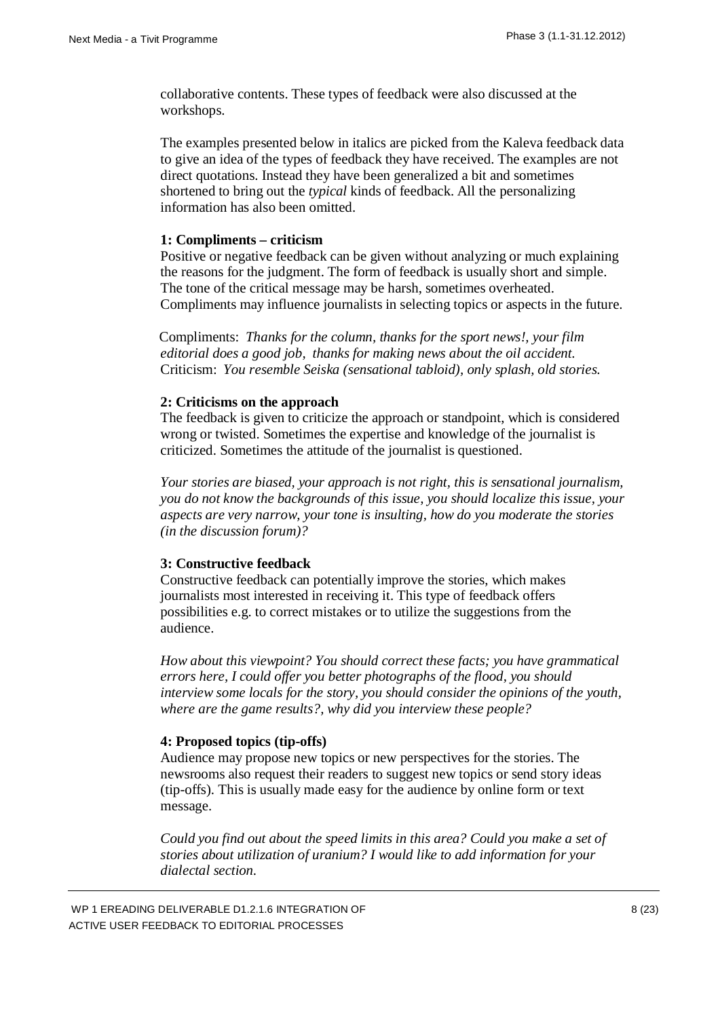collaborative contents. These types of feedback were also discussed at the workshops.

The examples presented below in italics are picked from the Kaleva feedback data to give an idea of the types of feedback they have received. The examples are not direct quotations. Instead they have been generalized a bit and sometimes shortened to bring out the *typical* kinds of feedback. All the personalizing information has also been omitted.

#### **1: Compliments – criticism**

Positive or negative feedback can be given without analyzing or much explaining the reasons for the judgment. The form of feedback is usually short and simple. The tone of the critical message may be harsh, sometimes overheated. Compliments may influence journalists in selecting topics or aspects in the future.

Compliments: *Thanks for the column, thanks for the sport news!, your film editorial does a good job, thanks for making news about the oil accident.*  Criticism: *You resemble Seiska (sensational tabloid), only splash, old stories.* 

#### **2: Criticisms on the approach**

The feedback is given to criticize the approach or standpoint, which is considered wrong or twisted. Sometimes the expertise and knowledge of the journalist is criticized. Sometimes the attitude of the journalist is questioned.

*Your stories are biased, your approach is not right, this is sensational journalism, you do not know the backgrounds of this issue, you should localize this issue, your aspects are very narrow, your tone is insulting, how do you moderate the stories (in the discussion forum)?* 

#### **3: Constructive feedback**

Constructive feedback can potentially improve the stories, which makes journalists most interested in receiving it. This type of feedback offers possibilities e.g. to correct mistakes or to utilize the suggestions from the audience.

*How about this viewpoint? You should correct these facts; you have grammatical errors here, I could offer you better photographs of the flood, you should interview some locals for the story, you should consider the opinions of the youth, where are the game results?, why did you interview these people?* 

#### **4: Proposed topics (tip-offs)**

Audience may propose new topics or new perspectives for the stories. The newsrooms also request their readers to suggest new topics or send story ideas (tip-offs). This is usually made easy for the audience by online form or text message.

*Could you find out about the speed limits in this area? Could you make a set of stories about utilization of uranium? I would like to add information for your dialectal section.*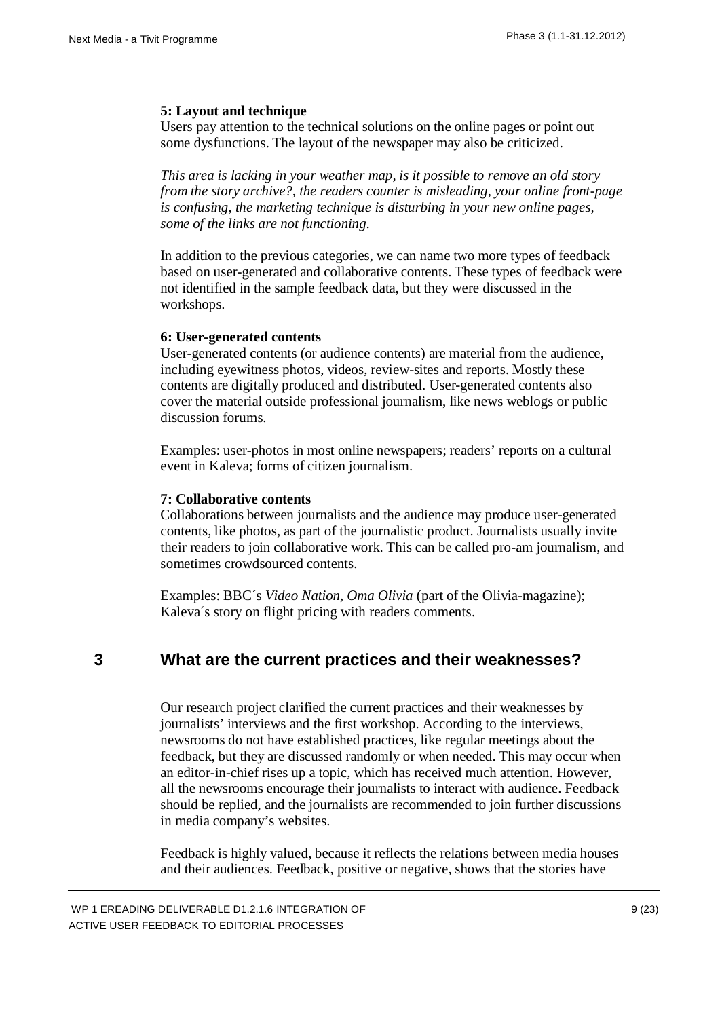#### **5: Layout and technique**

Users pay attention to the technical solutions on the online pages or point out some dysfunctions. The layout of the newspaper may also be criticized.

*This area is lacking in your weather map, is it possible to remove an old story from the story archive?, the readers counter is misleading, your online front-page is confusing, the marketing technique is disturbing in your new online pages, some of the links are not functioning.* 

In addition to the previous categories, we can name two more types of feedback based on user-generated and collaborative contents. These types of feedback were not identified in the sample feedback data, but they were discussed in the workshops.

#### **6: User-generated contents**

User-generated contents (or audience contents) are material from the audience, including eyewitness photos, videos, review-sites and reports. Mostly these contents are digitally produced and distributed. User-generated contents also cover the material outside professional journalism, like news weblogs or public discussion forums.

Examples: user-photos in most online newspapers; readers' reports on a cultural event in Kaleva; forms of citizen journalism.

#### **7: Collaborative contents**

Collaborations between journalists and the audience may produce user-generated contents, like photos, as part of the journalistic product. Journalists usually invite their readers to join collaborative work. This can be called pro-am journalism, and sometimes crowdsourced contents.

Examples: BBC´s *Video Nation, Oma Olivia* (part of the Olivia-magazine); Kaleva´s story on flight pricing with readers comments.

# **3 What are the current practices and their weaknesses?**

Our research project clarified the current practices and their weaknesses by journalists' interviews and the first workshop. According to the interviews, newsrooms do not have established practices, like regular meetings about the feedback, but they are discussed randomly or when needed. This may occur when an editor-in-chief rises up a topic, which has received much attention. However, all the newsrooms encourage their journalists to interact with audience. Feedback should be replied, and the journalists are recommended to join further discussions in media company's websites.

Feedback is highly valued, because it reflects the relations between media houses and their audiences. Feedback, positive or negative, shows that the stories have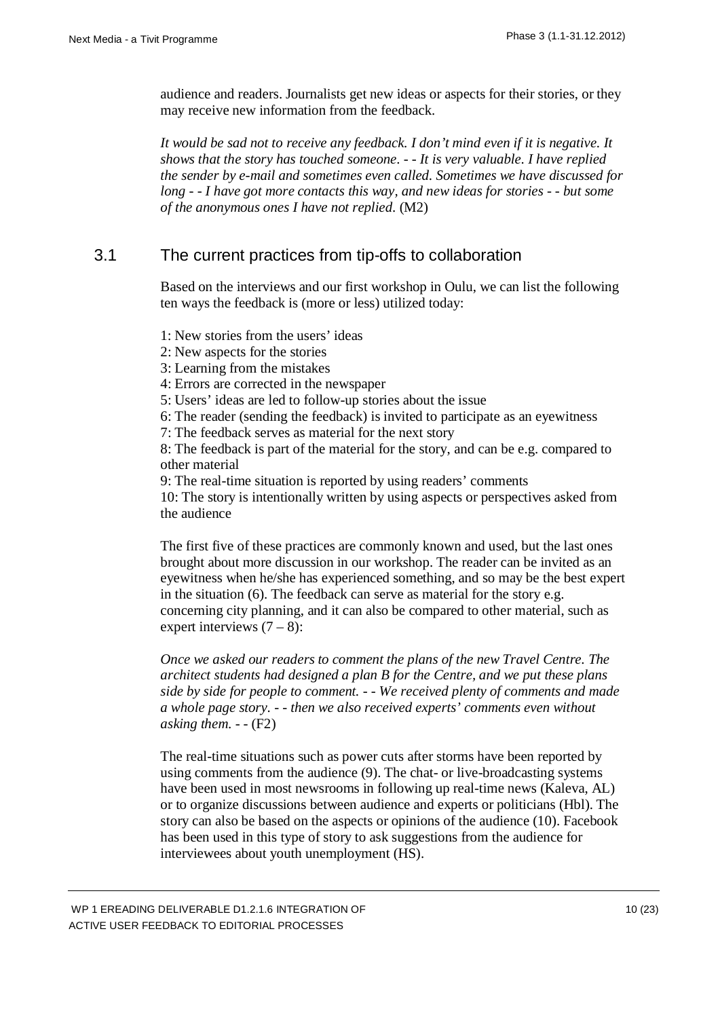audience and readers. Journalists get new ideas or aspects for their stories, or they may receive new information from the feedback.

*It would be sad not to receive any feedback. I don't mind even if it is negative. It shows that the story has touched someone. - - It is very valuable. I have replied the sender by e-mail and sometimes even called. Sometimes we have discussed for long - - I have got more contacts this way, and new ideas for stories - - but some of the anonymous ones I have not replied.* (M2)

# 3.1 The current practices from tip-offs to collaboration

<span id="page-10-0"></span>Based on the interviews and our first workshop in Oulu, we can list the following ten ways the feedback is (more or less) utilized today:

- 1: New stories from the users' ideas
- 2: New aspects for the stories
- 3: Learning from the mistakes
- 4: Errors are corrected in the newspaper
- 5: Users' ideas are led to follow-up stories about the issue
- 6: The reader (sending the feedback) is invited to participate as an eyewitness

7: The feedback serves as material for the next story

8: The feedback is part of the material for the story, and can be e.g. compared to other material

9: The real-time situation is reported by using readers' comments

10: The story is intentionally written by using aspects or perspectives asked from the audience

The first five of these practices are commonly known and used, but the last ones brought about more discussion in our workshop. The reader can be invited as an eyewitness when he/she has experienced something, and so may be the best expert in the situation (6). The feedback can serve as material for the story e.g. concerning city planning, and it can also be compared to other material, such as expert interviews  $(7 – 8)$ :

*Once we asked our readers to comment the plans of the new Travel Centre. The architect students had designed a plan B for the Centre, and we put these plans side by side for people to comment. - - We received plenty of comments and made a whole page story. - - then we also received experts' comments even without asking them. - -* (F2)

The real-time situations such as power cuts after storms have been reported by using comments from the audience (9). The chat- or live-broadcasting systems have been used in most newsrooms in following up real-time news (Kaleva, AL) or to organize discussions between audience and experts or politicians (Hbl). The story can also be based on the aspects or opinions of the audience (10). Facebook has been used in this type of story to ask suggestions from the audience for interviewees about youth unemployment (HS).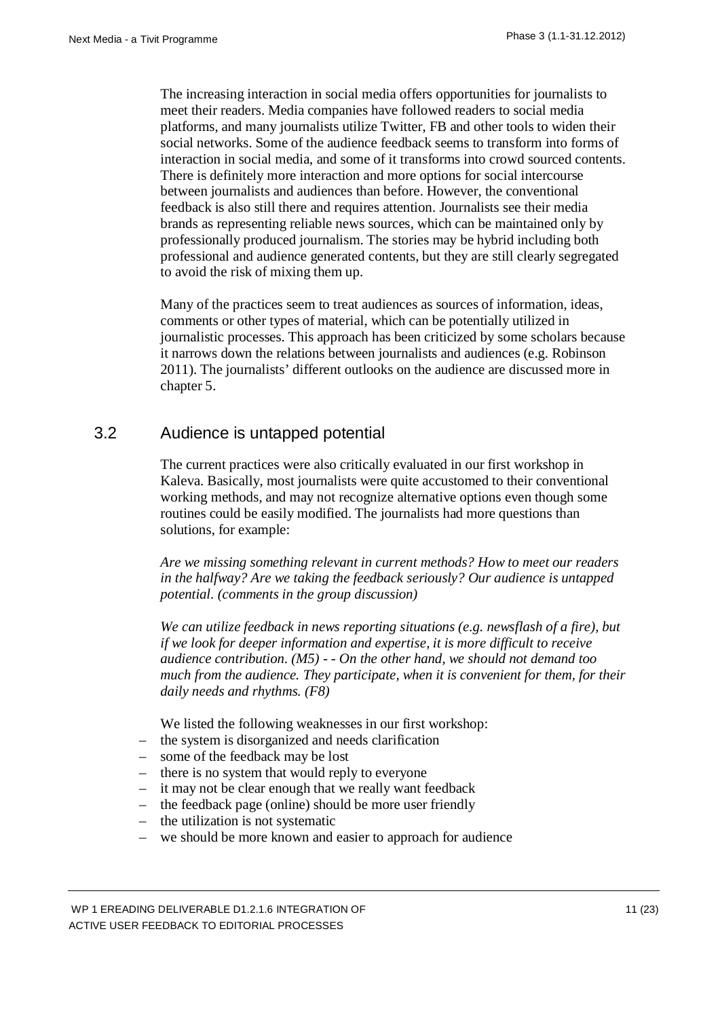The increasing interaction in social media offers opportunities for journalists to meet their readers. Media companies have followed readers to social media platforms, and many journalists utilize Twitter, FB and other tools to widen their social networks. Some of the audience feedback seems to transform into forms of interaction in social media, and some of it transforms into crowd sourced contents. There is definitely more interaction and more options for social intercourse between journalists and audiences than before. However, the conventional feedback is also still there and requires attention. Journalists see their media brands as representing reliable news sources, which can be maintained only by professionally produced journalism. The stories may be hybrid including both professional and audience generated contents, but they are still clearly segregated to avoid the risk of mixing them up.

Many of the practices seem to treat audiences as sources of information, ideas, comments or other types of material, which can be potentially utilized in journalistic processes. This approach has been criticized by some scholars because it narrows down the relations between journalists and audiences (e.g. Robinson 2011). The journalists' different outlooks on the audience are discussed more in chapter 5.

#### 3.2 Audience is untapped potential

<span id="page-11-0"></span>The current practices were also critically evaluated in our first workshop in Kaleva. Basically, most journalists were quite accustomed to their conventional working methods, and may not recognize alternative options even though some routines could be easily modified. The journalists had more questions than solutions, for example:

*Are we missing something relevant in current methods? How to meet our readers in the halfway? Are we taking the feedback seriously? Our audience is untapped potential. (comments in the group discussion)* 

*We can utilize feedback in news reporting situations (e.g. newsflash of a fire), but if we look for deeper information and expertise, it is more difficult to receive audience contribution. (M5) - - On the other hand, we should not demand too much from the audience. They participate, when it is convenient for them, for their daily needs and rhythms. (F8)* 

We listed the following weaknesses in our first workshop:

- the system is disorganized and needs clarification
- some of the feedback may be lost
- there is no system that would reply to everyone
- it may not be clear enough that we really want feedback
- the feedback page (online) should be more user friendly
- the utilization is not systematic
- we should be more known and easier to approach for audience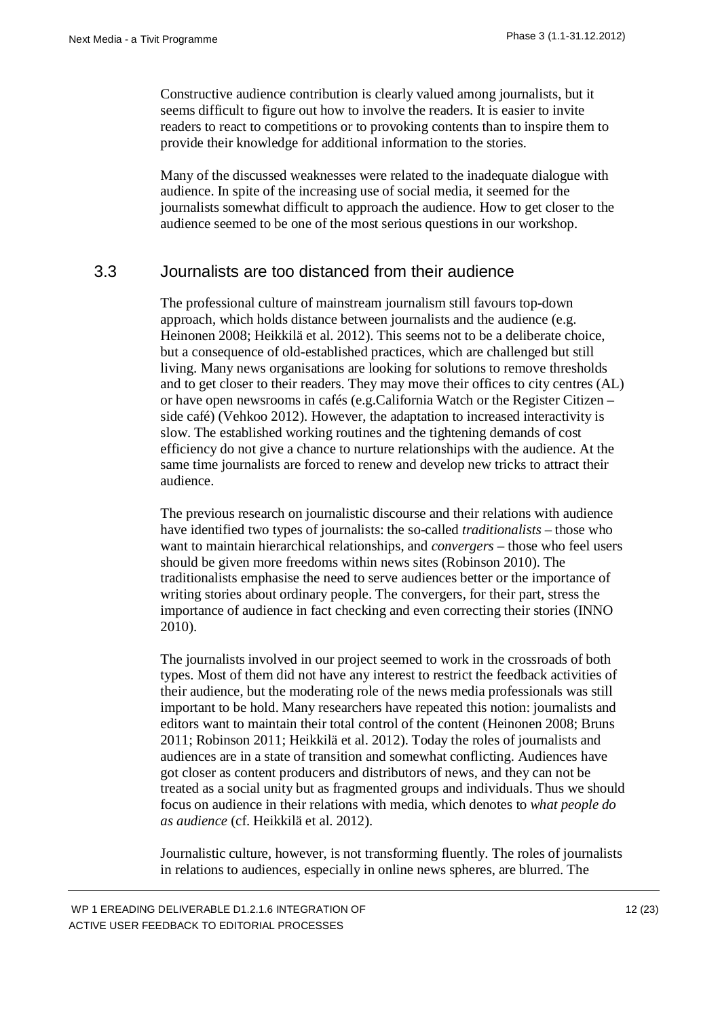Constructive audience contribution is clearly valued among journalists, but it seems difficult to figure out how to involve the readers. It is easier to invite readers to react to competitions or to provoking contents than to inspire them to provide their knowledge for additional information to the stories.

Many of the discussed weaknesses were related to the inadequate dialogue with audience. In spite of the increasing use of social media, it seemed for the journalists somewhat difficult to approach the audience. How to get closer to the audience seemed to be one of the most serious questions in our workshop.

# 3.3 Journalists are too distanced from their audience

<span id="page-12-0"></span>The professional culture of mainstream journalism still favours top-down approach, which holds distance between journalists and the audience (e.g. Heinonen 2008; Heikkilä et al. 2012). This seems not to be a deliberate choice, but a consequence of old-established practices, which are challenged but still living. Many news organisations are looking for solutions to remove thresholds and to get closer to their readers. They may move their offices to city centres (AL) or have open newsrooms in cafés (e.g.California Watch or the Register Citizen – side café) (Vehkoo 2012). However, the adaptation to increased interactivity is slow. The established working routines and the tightening demands of cost efficiency do not give a chance to nurture relationships with the audience. At the same time journalists are forced to renew and develop new tricks to attract their audience.

The previous research on journalistic discourse and their relations with audience have identified two types of journalists: the so-called *traditionalists* – those who want to maintain hierarchical relationships, and *convergers* – those who feel users should be given more freedoms within news sites (Robinson 2010). The traditionalists emphasise the need to serve audiences better or the importance of writing stories about ordinary people. The convergers, for their part, stress the importance of audience in fact checking and even correcting their stories (INNO 2010).

The journalists involved in our project seemed to work in the crossroads of both types. Most of them did not have any interest to restrict the feedback activities of their audience, but the moderating role of the news media professionals was still important to be hold. Many researchers have repeated this notion: journalists and editors want to maintain their total control of the content (Heinonen 2008; Bruns 2011; Robinson 2011; Heikkilä et al. 2012). Today the roles of journalists and audiences are in a state of transition and somewhat conflicting. Audiences have got closer as content producers and distributors of news, and they can not be treated as a social unity but as fragmented groups and individuals. Thus we should focus on audience in their relations with media, which denotes to *what people do as audience* (cf. Heikkilä et al. 2012).

Journalistic culture, however, is not transforming fluently. The roles of journalists in relations to audiences, especially in online news spheres, are blurred. The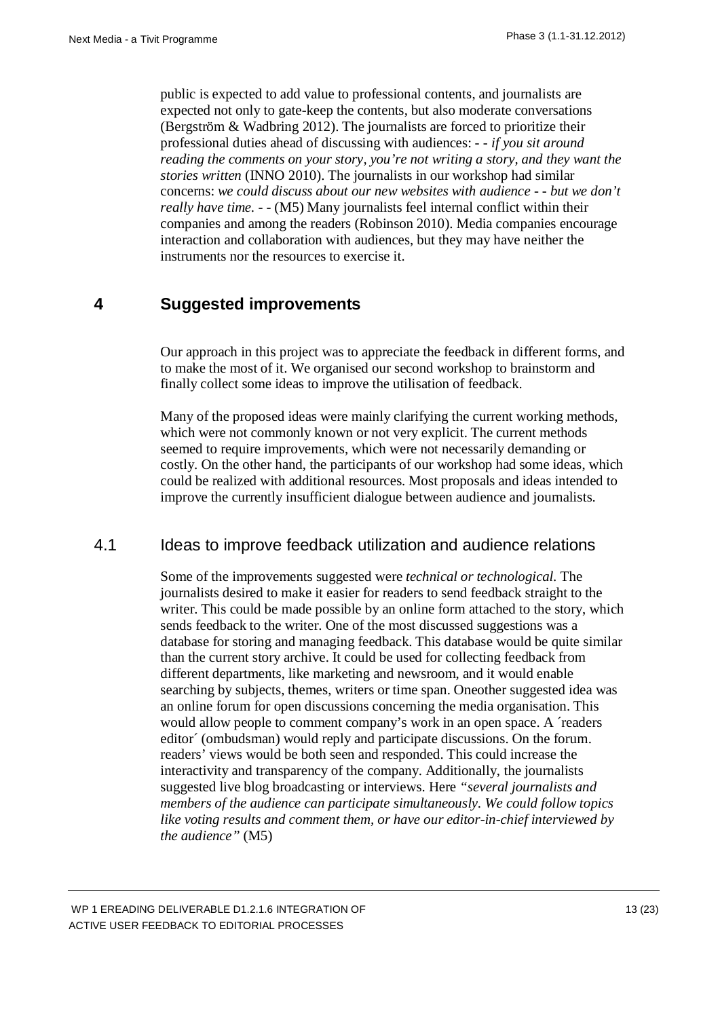public is expected to add value to professional contents, and journalists are expected not only to gate-keep the contents, but also moderate conversations (Bergström & Wadbring 2012). The journalists are forced to prioritize their professional duties ahead of discussing with audiences: *- - if you sit around reading the comments on your story, you're not writing a story, and they want the stories written* (INNO 2010). The journalists in our workshop had similar concerns: *we could discuss about our new websites with audience - - but we don't really have time. - -* (M5) Many journalists feel internal conflict within their companies and among the readers (Robinson 2010). Media companies encourage interaction and collaboration with audiences, but they may have neither the instruments nor the resources to exercise it.

# **4 Suggested improvements**

<span id="page-13-0"></span>Our approach in this project was to appreciate the feedback in different forms, and to make the most of it. We organised our second workshop to brainstorm and finally collect some ideas to improve the utilisation of feedback.

Many of the proposed ideas were mainly clarifying the current working methods, which were not commonly known or not very explicit. The current methods seemed to require improvements, which were not necessarily demanding or costly. On the other hand, the participants of our workshop had some ideas, which could be realized with additional resources. Most proposals and ideas intended to improve the currently insufficient dialogue between audience and journalists.

# 4.1 Ideas to improve feedback utilization and audience relations

<span id="page-13-1"></span>Some of the improvements suggested were *technical or technological.* The journalists desired to make it easier for readers to send feedback straight to the writer. This could be made possible by an online form attached to the story, which sends feedback to the writer. One of the most discussed suggestions was a database for storing and managing feedback. This database would be quite similar than the current story archive. It could be used for collecting feedback from different departments, like marketing and newsroom, and it would enable searching by subjects, themes, writers or time span. Oneother suggested idea was an online forum for open discussions concerning the media organisation. This would allow people to comment company's work in an open space. A 'readers' editor´ (ombudsman) would reply and participate discussions. On the forum. readers' views would be both seen and responded. This could increase the interactivity and transparency of the company. Additionally, the journalists suggested live blog broadcasting or interviews. Here *"several journalists and members of the audience can participate simultaneously. We could follow topics like voting results and comment them, or have our editor-in-chief interviewed by the audience"* (M5)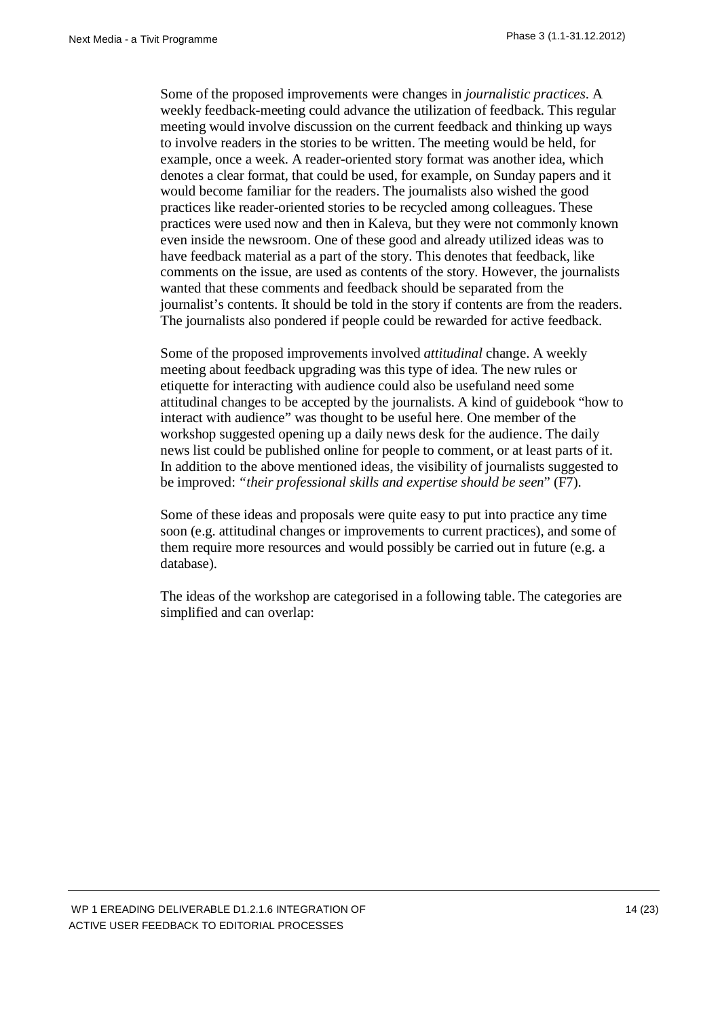Some of the proposed improvements were changes in *journalistic practices*. A weekly feedback-meeting could advance the utilization of feedback. This regular meeting would involve discussion on the current feedback and thinking up ways to involve readers in the stories to be written. The meeting would be held, for example, once a week. A reader-oriented story format was another idea, which denotes a clear format, that could be used, for example, on Sunday papers and it would become familiar for the readers. The journalists also wished the good practices like reader-oriented stories to be recycled among colleagues. These practices were used now and then in Kaleva, but they were not commonly known even inside the newsroom. One of these good and already utilized ideas was to have feedback material as a part of the story. This denotes that feedback, like comments on the issue, are used as contents of the story. However, the journalists wanted that these comments and feedback should be separated from the journalist's contents. It should be told in the story if contents are from the readers. The journalists also pondered if people could be rewarded for active feedback.

Some of the proposed improvements involved *attitudinal* change. A weekly meeting about feedback upgrading was this type of idea. The new rules or etiquette for interacting with audience could also be usefuland need some attitudinal changes to be accepted by the journalists. A kind of guidebook "how to interact with audience" was thought to be useful here. One member of the workshop suggested opening up a daily news desk for the audience. The daily news list could be published online for people to comment, or at least parts of it. In addition to the above mentioned ideas, the visibility of journalists suggested to be improved: *"their professional skills and expertise should be seen*" (F7).

Some of these ideas and proposals were quite easy to put into practice any time soon (e.g. attitudinal changes or improvements to current practices), and some of them require more resources and would possibly be carried out in future (e.g. a database).

The ideas of the workshop are categorised in a following table. The categories are simplified and can overlap: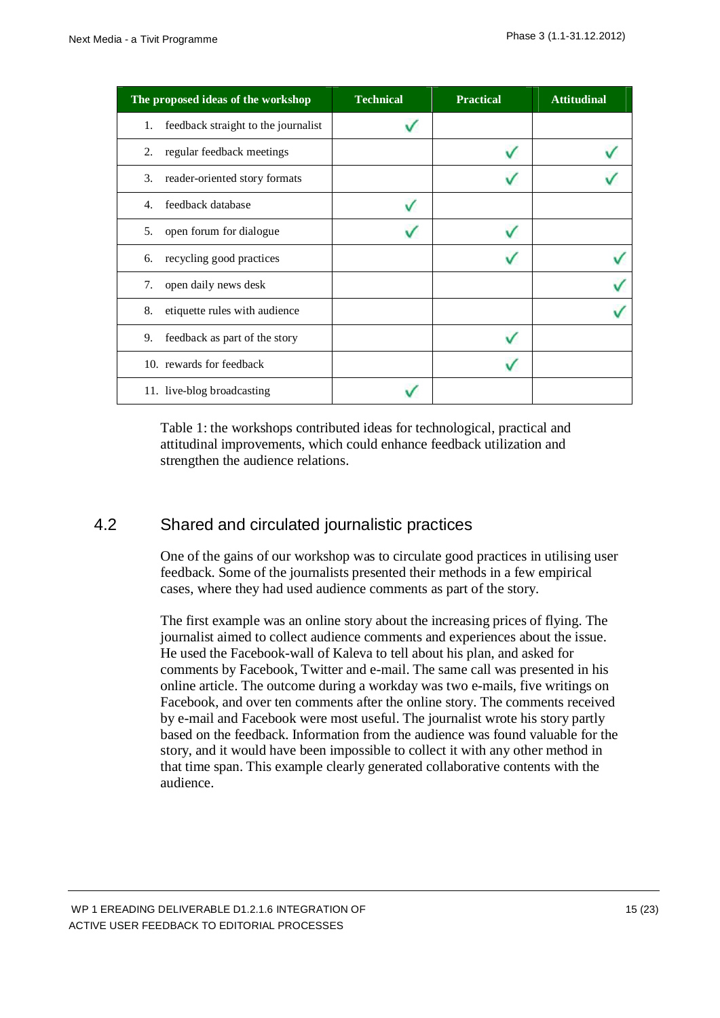| The proposed ideas of the workshop        | <b>Technical</b> | <b>Practical</b> | <b>Attitudinal</b> |
|-------------------------------------------|------------------|------------------|--------------------|
| feedback straight to the journalist<br>1. |                  |                  |                    |
| regular feedback meetings<br>2.           |                  |                  |                    |
| 3.<br>reader-oriented story formats       |                  |                  |                    |
| feedback database<br>4.                   |                  |                  |                    |
| open forum for dialogue<br>5.             |                  |                  |                    |
| recycling good practices<br>6.            |                  |                  |                    |
| open daily news desk<br>7.                |                  |                  |                    |
| 8.<br>etiquette rules with audience       |                  |                  |                    |
| 9.<br>feedback as part of the story       |                  |                  |                    |
| 10. rewards for feedback                  |                  |                  |                    |
| 11. live-blog broadcasting                |                  |                  |                    |

Table 1: the workshops contributed ideas for technological, practical and attitudinal improvements, which could enhance feedback utilization and strengthen the audience relations.

# 4.2 Shared and circulated journalistic practices

<span id="page-15-0"></span>One of the gains of our workshop was to circulate good practices in utilising user feedback. Some of the journalists presented their methods in a few empirical cases, where they had used audience comments as part of the story.

The first example was an online story about the increasing prices of flying. The journalist aimed to collect audience comments and experiences about the issue. He used the Facebook-wall of Kaleva to tell about his plan, and asked for comments by Facebook, Twitter and e-mail. The same call was presented in his online article. The outcome during a workday was two e-mails, five writings on Facebook, and over ten comments after the online story. The comments received by e-mail and Facebook were most useful. The journalist wrote his story partly based on the feedback. Information from the audience was found valuable for the story, and it would have been impossible to collect it with any other method in that time span. This example clearly generated collaborative contents with the audience.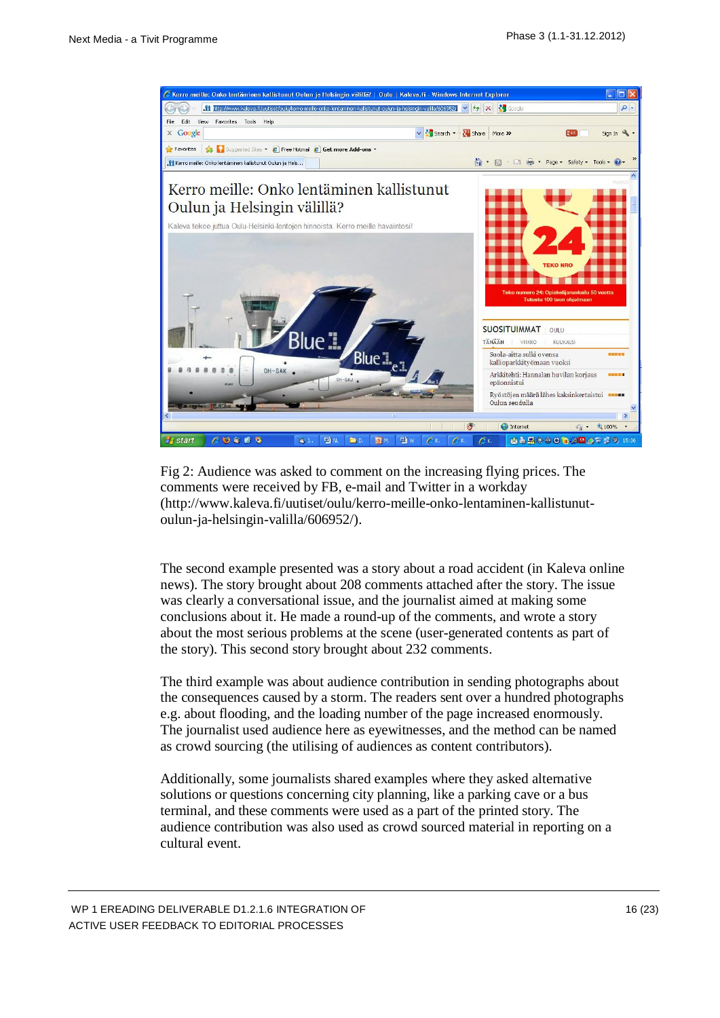

Fig 2: Audience was asked to comment on the increasing flying prices. The comments were received by FB, e-mail and Twitter in a workday (http://www.kaleva.fi/uutiset/oulu/kerro-meille-onko-lentaminen-kallistunutoulun-ja-helsingin-valilla/606952/).

The second example presented was a story about a road accident (in Kaleva online news). The story brought about 208 comments attached after the story. The issue was clearly a conversational issue, and the journalist aimed at making some conclusions about it. He made a round-up of the comments, and wrote a story about the most serious problems at the scene (user-generated contents as part of the story). This second story brought about 232 comments.

The third example was about audience contribution in sending photographs about the consequences caused by a storm. The readers sent over a hundred photographs e.g. about flooding, and the loading number of the page increased enormously. The journalist used audience here as eyewitnesses, and the method can be named as crowd sourcing (the utilising of audiences as content contributors).

Additionally, some journalists shared examples where they asked alternative solutions or questions concerning city planning, like a parking cave or a bus terminal, and these comments were used as a part of the printed story. The audience contribution was also used as crowd sourced material in reporting on a cultural event.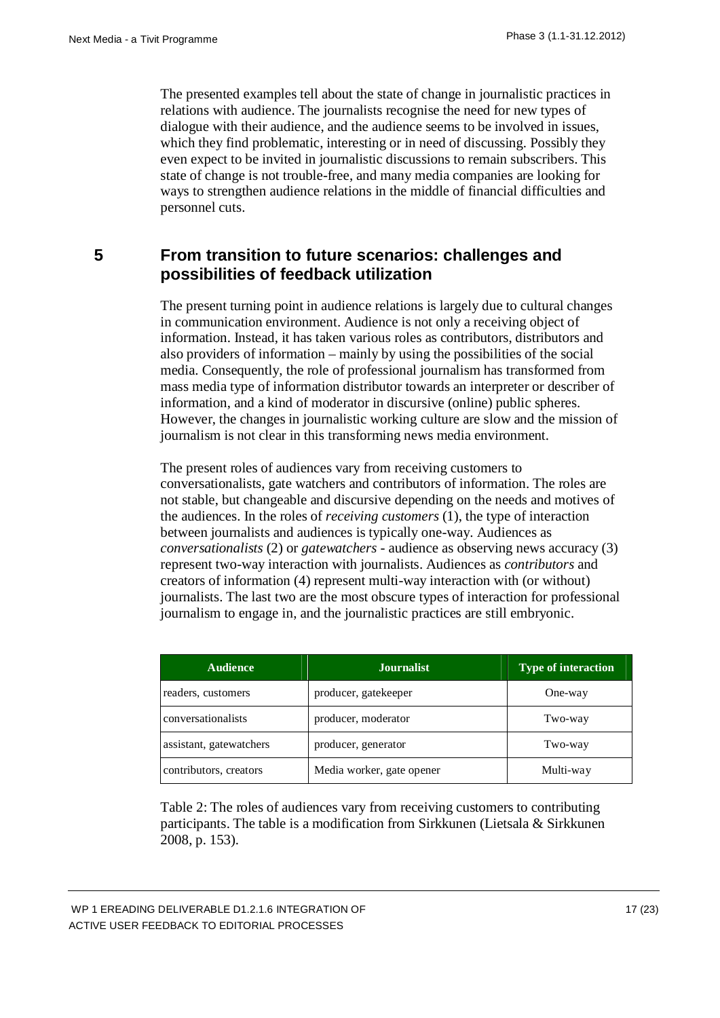The presented examples tell about the state of change in journalistic practices in relations with audience. The journalists recognise the need for new types of dialogue with their audience, and the audience seems to be involved in issues, which they find problematic, interesting or in need of discussing. Possibly they even expect to be invited in journalistic discussions to remain subscribers. This state of change is not trouble-free, and many media companies are looking for ways to strengthen audience relations in the middle of financial difficulties and personnel cuts.

# **5 From transition to future scenarios: challenges and possibilities of feedback utilization**

<span id="page-17-0"></span>The present turning point in audience relations is largely due to cultural changes in communication environment. Audience is not only a receiving object of information. Instead, it has taken various roles as contributors, distributors and also providers of information – mainly by using the possibilities of the social media. Consequently, the role of professional journalism has transformed from mass media type of information distributor towards an interpreter or describer of information, and a kind of moderator in discursive (online) public spheres. However, the changes in journalistic working culture are slow and the mission of journalism is not clear in this transforming news media environment.

The present roles of audiences vary from receiving customers to conversationalists, gate watchers and contributors of information. The roles are not stable, but changeable and discursive depending on the needs and motives of the audiences. In the roles of *receiving customers* (1), the type of interaction between journalists and audiences is typically one-way. Audiences as *conversationalists* (2) or *gatewatchers* - audience as observing news accuracy (3) represent two-way interaction with journalists. Audiences as *contributors* and creators of information (4) represent multi-way interaction with (or without) journalists. The last two are the most obscure types of interaction for professional journalism to engage in, and the journalistic practices are still embryonic.

| <b>Audience</b>         | <b>Journalist</b>         | <b>Type of interaction</b> |
|-------------------------|---------------------------|----------------------------|
| readers, customers      | producer, gatekeeper      | One-way                    |
| conversationalists      | producer, moderator       | Two-way                    |
| assistant, gatewatchers | producer, generator       | Two-way                    |
| contributors, creators  | Media worker, gate opener | Multi-way                  |

Table 2: The roles of audiences vary from receiving customers to contributing participants. The table is a modification from Sirkkunen (Lietsala & Sirkkunen 2008, p. 153).

 WP 1 EREADING DELIVERABLE D1.2.1.6 INTEGRATION OF ACTIVE USER FEEDBACK TO EDITORIAL PROCESSES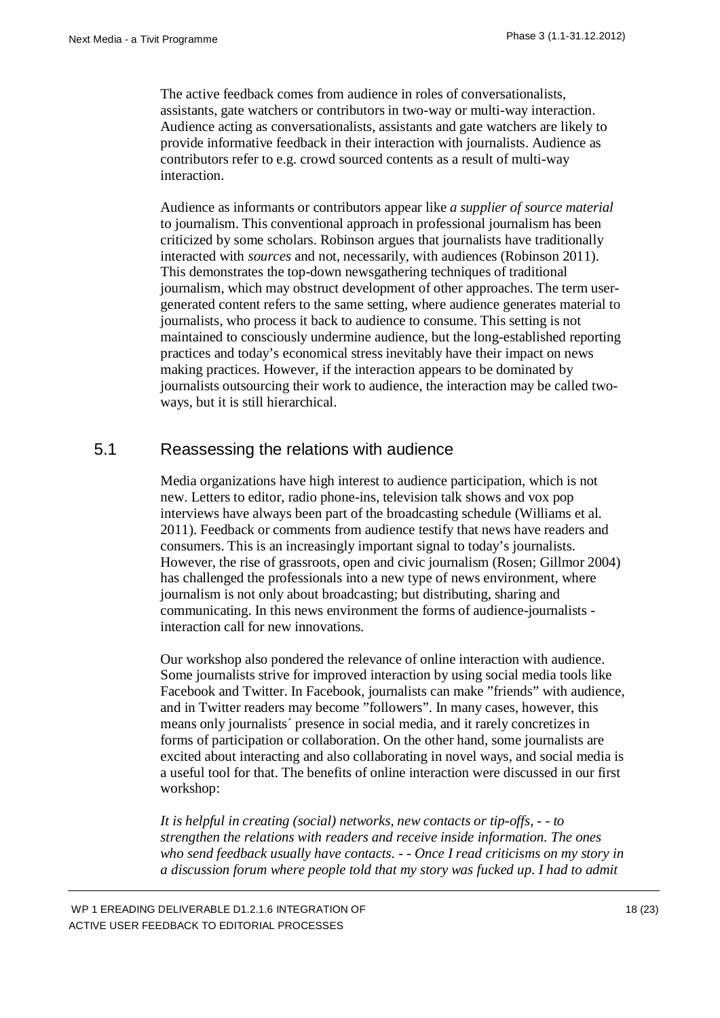The active feedback comes from audience in roles of conversationalists, assistants, gate watchers or contributors in two-way or multi-way interaction. Audience acting as conversationalists, assistants and gate watchers are likely to provide informative feedback in their interaction with journalists. Audience as contributors refer to e.g. crowd sourced contents as a result of multi-way interaction.

Audience as informants or contributors appear like *a supplier of source material* to journalism. This conventional approach in professional journalism has been criticized by some scholars. Robinson argues that journalists have traditionally interacted with *sources* and not, necessarily, with audiences (Robinson 2011). This demonstrates the top-down newsgathering techniques of traditional journalism, which may obstruct development of other approaches. The term usergenerated content refers to the same setting, where audience generates material to journalists, who process it back to audience to consume. This setting is not maintained to consciously undermine audience, but the long-established reporting practices and today's economical stress inevitably have their impact on news making practices. However, if the interaction appears to be dominated by journalists outsourcing their work to audience, the interaction may be called twoways, but it is still hierarchical.

# 5.1 Reassessing the relations with audience

<span id="page-18-0"></span>Media organizations have high interest to audience participation, which is not new. Letters to editor, radio phone-ins, television talk shows and vox pop interviews have always been part of the broadcasting schedule (Williams et al. 2011). Feedback or comments from audience testify that news have readers and consumers. This is an increasingly important signal to today's journalists. However, the rise of grassroots, open and civic journalism (Rosen; Gillmor 2004) has challenged the professionals into a new type of news environment, where journalism is not only about broadcasting; but distributing, sharing and communicating. In this news environment the forms of audience-journalists interaction call for new innovations.

Our workshop also pondered the relevance of online interaction with audience. Some journalists strive for improved interaction by using social media tools like Facebook and Twitter. In Facebook, journalists can make "friends" with audience, and in Twitter readers may become "followers". In many cases, however, this means only journalists´ presence in social media, and it rarely concretizes in forms of participation or collaboration. On the other hand, some journalists are excited about interacting and also collaborating in novel ways, and social media is a useful tool for that. The benefits of online interaction were discussed in our first workshop:

*It is helpful in creating (social) networks, new contacts or tip-offs, - - to strengthen the relations with readers and receive inside information. The ones who send feedback usually have contacts. - - Once I read criticisms on my story in a discussion forum where people told that my story was fucked up. I had to admit*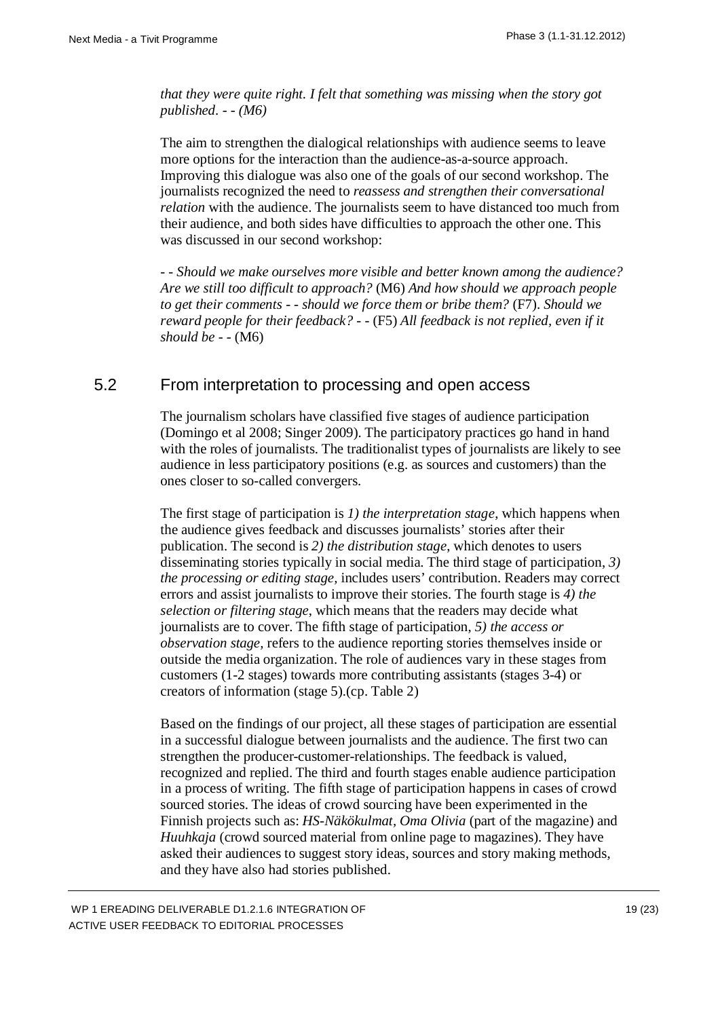*that they were quite right. I felt that something was missing when the story got published. - - (M6)* 

The aim to strengthen the dialogical relationships with audience seems to leave more options for the interaction than the audience-as-a-source approach. Improving this dialogue was also one of the goals of our second workshop. The journalists recognized the need to *reassess and strengthen their conversational relation* with the audience. The journalists seem to have distanced too much from their audience, and both sides have difficulties to approach the other one. This was discussed in our second workshop:

- - *Should we make ourselves more visible and better known among the audience? Are we still too difficult to approach?* (M6) *And how should we approach people to get their comments - - should we force them or bribe them?* (F7). *Should we reward people for their feedback? - -* (F5) *All feedback is not replied, even if it should be - -* (M6)

#### 5.2 From interpretation to processing and open access

<span id="page-19-0"></span>The journalism scholars have classified five stages of audience participation (Domingo et al 2008; Singer 2009). The participatory practices go hand in hand with the roles of journalists. The traditionalist types of journalists are likely to see audience in less participatory positions (e.g. as sources and customers) than the ones closer to so-called convergers.

The first stage of participation is *1) the interpretation stage*, which happens when the audience gives feedback and discusses journalists' stories after their publication. The second is *2) the distribution stage*, which denotes to users disseminating stories typically in social media. The third stage of participation, *3) the processing or editing stage,* includes users' contribution. Readers may correct errors and assist journalists to improve their stories. The fourth stage is *4) the selection or filtering stage*, which means that the readers may decide what journalists are to cover. The fifth stage of participation, *5) the access or observation stage,* refers to the audience reporting stories themselves inside or outside the media organization. The role of audiences vary in these stages from customers (1-2 stages) towards more contributing assistants (stages 3-4) or creators of information (stage 5).(cp. Table 2)

Based on the findings of our project, all these stages of participation are essential in a successful dialogue between journalists and the audience. The first two can strengthen the producer-customer-relationships. The feedback is valued, recognized and replied. The third and fourth stages enable audience participation in a process of writing. The fifth stage of participation happens in cases of crowd sourced stories. The ideas of crowd sourcing have been experimented in the Finnish projects such as: *HS-Näkökulmat, Oma Olivia* (part of the magazine) and *Huuhkaja* (crowd sourced material from online page to magazines). They have asked their audiences to suggest story ideas, sources and story making methods, and they have also had stories published.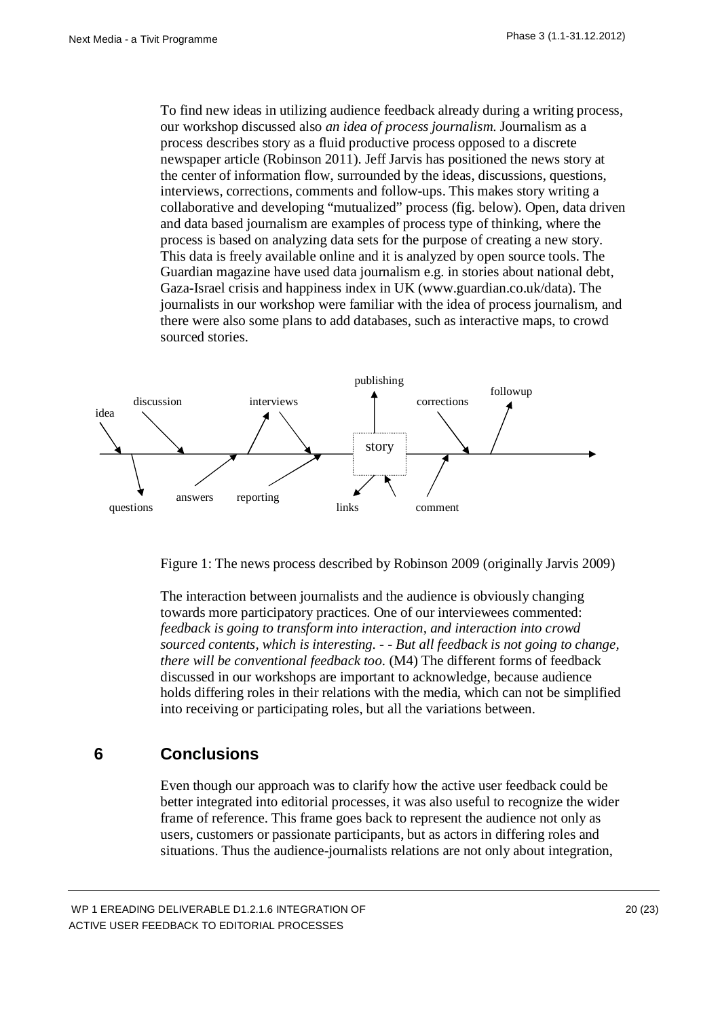To find new ideas in utilizing audience feedback already during a writing process, our workshop discussed also *an idea of process journalism*. Journalism as a process describes story as a fluid productive process opposed to a discrete newspaper article (Robinson 2011). Jeff Jarvis has positioned the news story at the center of information flow, surrounded by the ideas, discussions, questions, interviews, corrections, comments and follow-ups. This makes story writing a collaborative and developing "mutualized" process (fig. below). Open, data driven and data based journalism are examples of process type of thinking, where the process is based on analyzing data sets for the purpose of creating a new story. This data is freely available online and it is analyzed by open source tools. The Guardian magazine have used data journalism e.g. in stories about national debt, Gaza-Israel crisis and happiness index in UK (www.guardian.co.uk/data). The journalists in our workshop were familiar with the idea of process journalism, and there were also some plans to add databases, such as interactive maps, to crowd sourced stories.



Figure 1: The news process described by Robinson 2009 (originally Jarvis 2009)

The interaction between journalists and the audience is obviously changing towards more participatory practices. One of our interviewees commented: *feedback is going to transform into interaction, and interaction into crowd sourced contents, which is interesting. - - But all feedback is not going to change, there will be conventional feedback too.* (M4) The different forms of feedback discussed in our workshops are important to acknowledge, because audience holds differing roles in their relations with the media, which can not be simplified into receiving or participating roles, but all the variations between.

# **6 Conclusions**

<span id="page-20-0"></span>Even though our approach was to clarify how the active user feedback could be better integrated into editorial processes, it was also useful to recognize the wider frame of reference. This frame goes back to represent the audience not only as users, customers or passionate participants, but as actors in differing roles and situations. Thus the audience-journalists relations are not only about integration,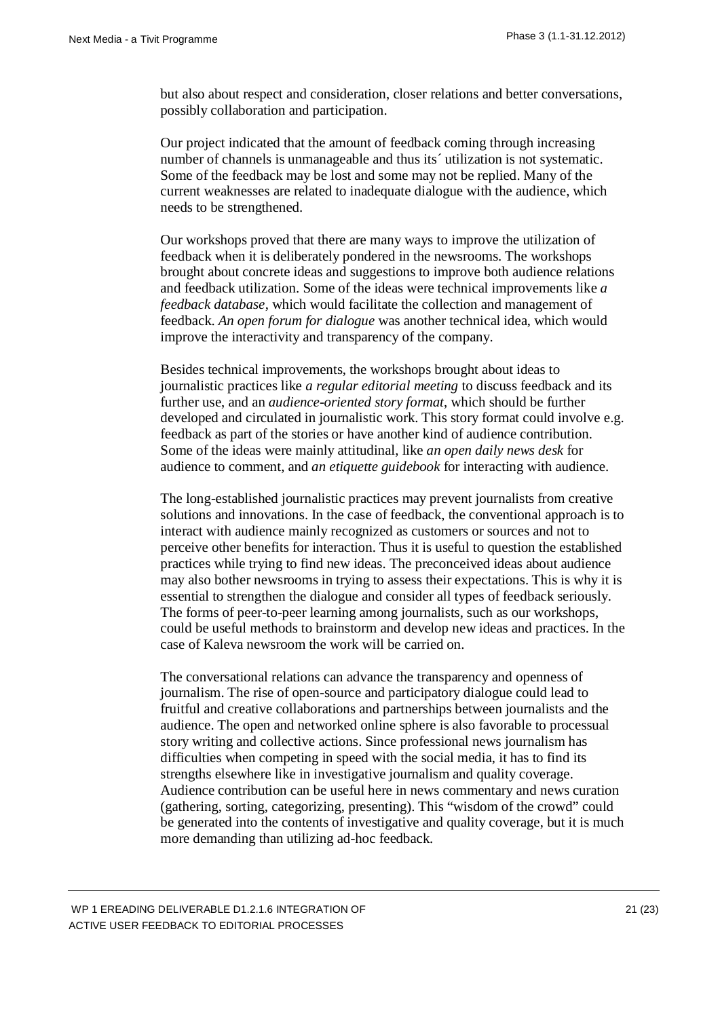but also about respect and consideration, closer relations and better conversations, possibly collaboration and participation.

Our project indicated that the amount of feedback coming through increasing number of channels is unmanageable and thus its<sup> $\dot{\ }$ </sup> utilization is not systematic. Some of the feedback may be lost and some may not be replied. Many of the current weaknesses are related to inadequate dialogue with the audience, which needs to be strengthened.

Our workshops proved that there are many ways to improve the utilization of feedback when it is deliberately pondered in the newsrooms. The workshops brought about concrete ideas and suggestions to improve both audience relations and feedback utilization. Some of the ideas were technical improvements like *a feedback database*, which would facilitate the collection and management of feedback. *An open forum for dialogue* was another technical idea, which would improve the interactivity and transparency of the company.

Besides technical improvements, the workshops brought about ideas to journalistic practices like *a regular editorial meeting* to discuss feedback and its further use, and an *audience-oriented story format*, which should be further developed and circulated in journalistic work. This story format could involve e.g. feedback as part of the stories or have another kind of audience contribution. Some of the ideas were mainly attitudinal, like *an open daily news desk* for audience to comment, and *an etiquette guidebook* for interacting with audience.

The long-established journalistic practices may prevent journalists from creative solutions and innovations. In the case of feedback, the conventional approach is to interact with audience mainly recognized as customers or sources and not to perceive other benefits for interaction. Thus it is useful to question the established practices while trying to find new ideas. The preconceived ideas about audience may also bother newsrooms in trying to assess their expectations. This is why it is essential to strengthen the dialogue and consider all types of feedback seriously. The forms of peer-to-peer learning among journalists, such as our workshops, could be useful methods to brainstorm and develop new ideas and practices. In the case of Kaleva newsroom the work will be carried on.

The conversational relations can advance the transparency and openness of journalism. The rise of open-source and participatory dialogue could lead to fruitful and creative collaborations and partnerships between journalists and the audience. The open and networked online sphere is also favorable to processual story writing and collective actions. Since professional news journalism has difficulties when competing in speed with the social media, it has to find its strengths elsewhere like in investigative journalism and quality coverage. Audience contribution can be useful here in news commentary and news curation (gathering, sorting, categorizing, presenting). This "wisdom of the crowd" could be generated into the contents of investigative and quality coverage, but it is much more demanding than utilizing ad-hoc feedback.

 WP 1 EREADING DELIVERABLE D1.2.1.6 INTEGRATION OF ACTIVE USER FEEDBACK TO EDITORIAL PROCESSES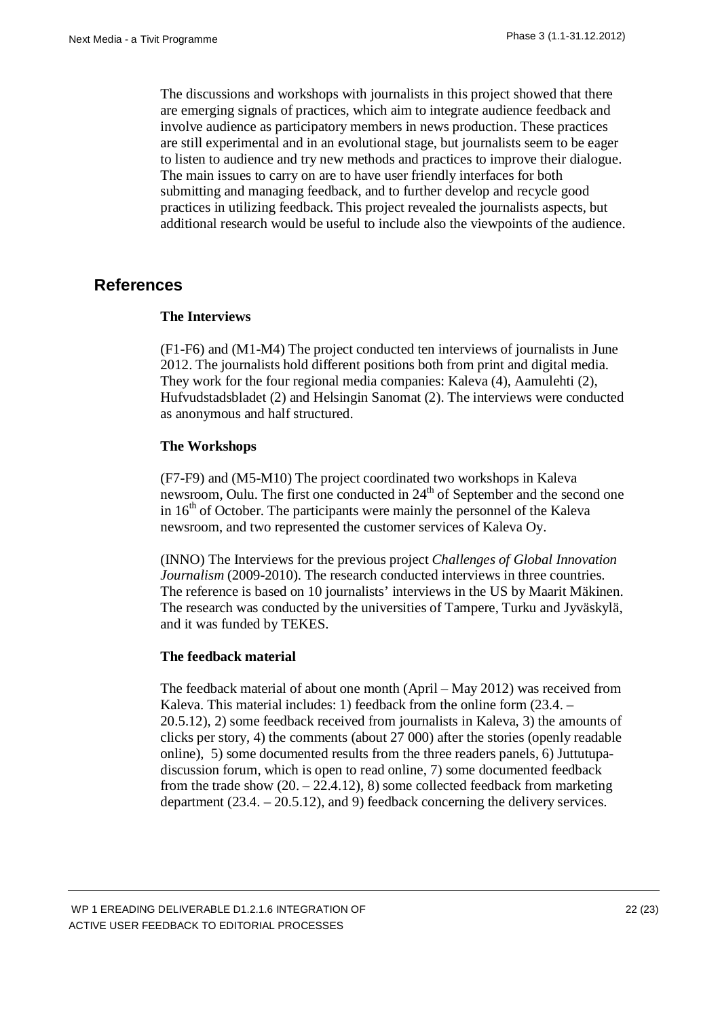The discussions and workshops with journalists in this project showed that there are emerging signals of practices, which aim to integrate audience feedback and involve audience as participatory members in news production. These practices are still experimental and in an evolutional stage, but journalists seem to be eager to listen to audience and try new methods and practices to improve their dialogue. The main issues to carry on are to have user friendly interfaces for both submitting and managing feedback, and to further develop and recycle good practices in utilizing feedback. This project revealed the journalists aspects, but additional research would be useful to include also the viewpoints of the audience.

#### <span id="page-22-0"></span>**References**

#### **The Interviews**

(F1-F6) and (M1-M4) The project conducted ten interviews of journalists in June 2012. The journalists hold different positions both from print and digital media. They work for the four regional media companies: Kaleva (4), Aamulehti (2), Hufvudstadsbladet (2) and Helsingin Sanomat (2). The interviews were conducted as anonymous and half structured.

#### **The Workshops**

(F7-F9) and (M5-M10) The project coordinated two workshops in Kaleva newsroom, Oulu. The first one conducted in 24<sup>th</sup> of September and the second one in  $16<sup>th</sup>$  of October. The participants were mainly the personnel of the Kaleva newsroom, and two represented the customer services of Kaleva Oy.

(INNO) The Interviews for the previous project *Challenges of Global Innovation Journalism* (2009-2010). The research conducted interviews in three countries. The reference is based on 10 journalists' interviews in the US by Maarit Mäkinen. The research was conducted by the universities of Tampere, Turku and Jyväskylä, and it was funded by TEKES.

#### **The feedback material**

The feedback material of about one month (April – May 2012) was received from Kaleva. This material includes: 1) feedback from the online form (23.4. – 20.5.12), 2) some feedback received from journalists in Kaleva, 3) the amounts of clicks per story, 4) the comments (about 27 000) after the stories (openly readable online), 5) some documented results from the three readers panels, 6) Juttutupadiscussion forum, which is open to read online, 7) some documented feedback from the trade show  $(20 - 22.4.12)$ , 8) some collected feedback from marketing department (23.4. – 20.5.12), and 9) feedback concerning the delivery services.

 WP 1 EREADING DELIVERABLE D1.2.1.6 INTEGRATION OF ACTIVE USER FEEDBACK TO EDITORIAL PROCESSES